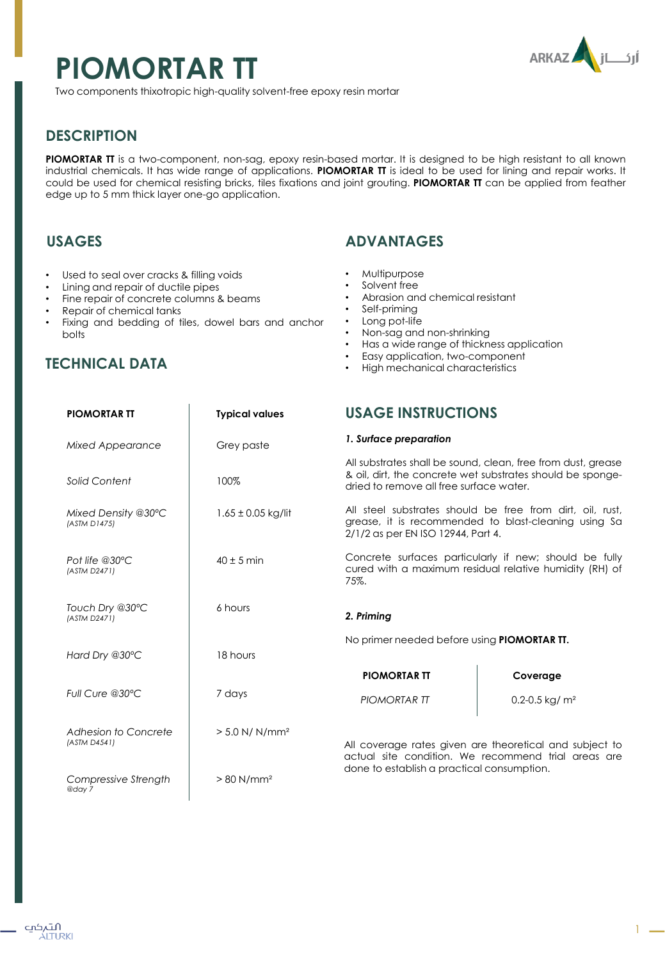# **PIOMORTAR TT**



Two components thixotropic high-quality solvent-free epoxy resin mortar

# **DESCRIPTION**

**PIOMORTAR TT** is a two-component, non-sag, epoxy resin-based mortar. It is designed to be high resistant to all known industrial chemicals. It has wide range of applications. **PIOMORTAR TT** is ideal to be used for lining and repair works. It could be used for chemical resisting bricks, tiles fixations and joint grouting. **PIOMORTAR TT** can be applied from feather edge up to 5 mm thick layer one-go application.

## **USAGES**

- Used to seal over cracks & filling voids
- Lining and repair of ductile pipes
- Fine repair of concrete columns & beams
- Repair of chemical tanks
- Fixing and bedding of tiles, dowel bars and anchor bolts

## **TECHNICAL DATA**

## **ADVANTAGES**

- Multipurpose
- Solvent free
- Abrasion and chemical resistant
- Self-priming
- Long pot-life
- Non-sag and non-shrinking
- Has a wide range of thickness application
- Easy application, two-component
- High mechanical characteristics

| <b>PIOMORTAR TT</b>                  | <b>Typical values</b>        | <b>USAGE INSTRUCTIONS</b>                                                                                                                                             |                  |
|--------------------------------------|------------------------------|-----------------------------------------------------------------------------------------------------------------------------------------------------------------------|------------------|
| Mixed Appearance                     | Grey paste                   | 1. Surface preparation                                                                                                                                                |                  |
| Solid Content                        | 100%                         | All substrates shall be sound, clean, free from dust, grease<br>& oil, dirt, the concrete wet substrates should be sponge-<br>dried to remove all free surface water. |                  |
| Mixed Density @30°C<br>(ASTM D1475)  | $1.65 \pm 0.05$ kg/lit       | All steel substrates should be free from dirt, oil, rust,<br>grease, it is recommended to blast-cleaning using Sa<br>2/1/2 as per EN ISO 12944, Part 4.               |                  |
| Pot life @30°C<br>(ASTM D2471)       | $40 \pm 5$ min               | Concrete surfaces particularly if new; should be fully<br>cured with a maximum residual relative humidity (RH) of<br>75%.                                             |                  |
| Touch Dry @30°C<br>(ASTM D2471)      | 6 hours                      | 2. Priming                                                                                                                                                            |                  |
|                                      |                              | No primer needed before using <b>PIOMORTAR TT.</b>                                                                                                                    |                  |
| Hard Dry @30°C                       | 18 hours                     | <b>PIOMORTAR TT</b>                                                                                                                                                   | Coverage         |
| Full Cure @30°C                      | 7 days                       | <b>PIOMORTAR TT</b>                                                                                                                                                   | 0.2-0.5 kg/ $m2$ |
| Adhesion to Concrete<br>(ASTM D4541) | $> 5.0$ N/ N/mm <sup>2</sup> | All coverage rates given are theoretical and subject to<br>actual site condition. We recommend trial areas are<br>done to establish a practical consumption.          |                  |
| Compressive Strength<br>@day 7       | $> 80$ N/mm <sup>2</sup>     |                                                                                                                                                                       |                  |